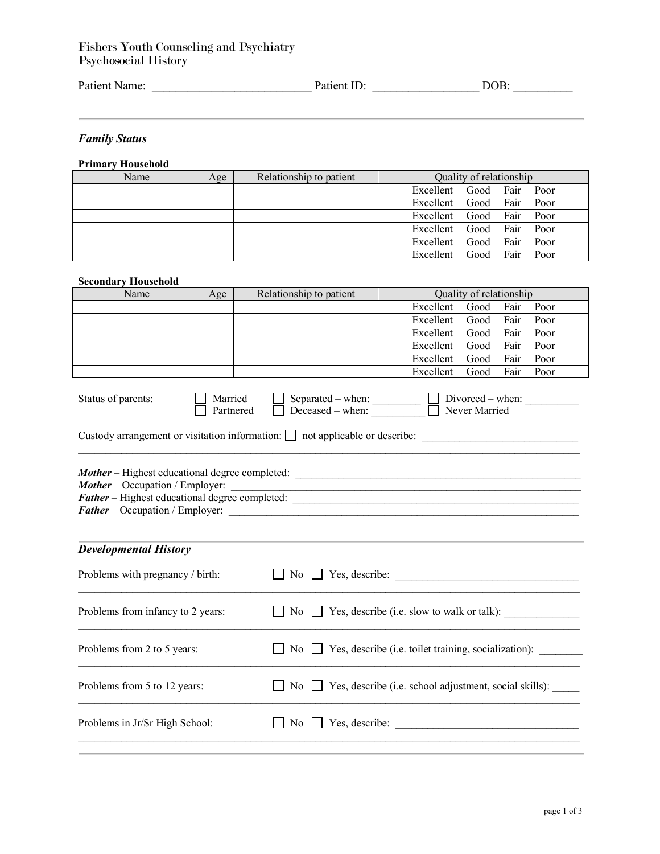## Fishers Youth Counseling and Psychiatry Psychosocial History

| Patient Name: | Patient ID: | DOB. |  |
|---------------|-------------|------|--|
|               |             |      |  |

*Family Status*

#### **Primary Household**

| Name | Age | Relationship to patient | Quality of relationship |      |           |      |
|------|-----|-------------------------|-------------------------|------|-----------|------|
|      |     |                         | Excellent Good Fair     |      |           | Poor |
|      |     |                         | Excellent Good Fair     |      |           | Poor |
|      |     |                         | Excellent Good          |      | Fair Poor |      |
|      |     |                         | Excellent Good Fair     |      |           | Poor |
|      |     |                         | Excellent Good          |      | Fair      | Poor |
|      |     |                         | Excellent               | Good | Fair      | Poor |

#### **Secondary Household**

| Name | Age | Relationship to patient |                          | Quality of relationship |      |      |
|------|-----|-------------------------|--------------------------|-------------------------|------|------|
|      |     |                         | Excellent Good Fair      |                         |      | Poor |
|      |     |                         | Excellent                | Good Fair               |      | Poor |
|      |     |                         | Excellent Good Fair Poor |                         |      |      |
|      |     |                         | Excellent                | Good Fair Poor          |      |      |
|      |     |                         | Excellent                | Good                    | Fair | Poor |
|      |     |                         | Excellent                | Good                    | Fair | Poor |

| Status of parents: | Married          | Separated – when:            | $Divored - when:$ |
|--------------------|------------------|------------------------------|-------------------|
|                    | <b>Partnered</b> | $\parallel$ Deceased – when: | Never Married     |

Custody arrangement or visitation information:  $\Box$  not applicable or describe:  $\Box$ 

*Mother* – Highest educational degree completed: \_\_\_\_\_\_\_\_\_\_\_\_\_\_\_\_\_\_\_\_\_\_\_\_\_\_\_\_\_\_\_\_\_\_\_\_\_\_\_\_\_\_\_\_\_\_\_\_\_\_\_\_\_ *Mother* – Occupation / Employer: *Father* – Highest educational degree completed: \_\_\_\_\_\_\_\_\_\_\_\_\_\_\_\_\_\_\_\_\_\_\_\_\_\_\_\_\_\_\_\_\_\_\_\_\_\_\_\_\_\_\_\_\_\_\_\_\_\_\_\_\_ *Father* – Occupation / Employer:

## *Developmental History*

| Problems with pregnancy / birth:  |                                                                         |
|-----------------------------------|-------------------------------------------------------------------------|
| Problems from infancy to 2 years: | $\Box$ No $\Box$ Yes, describe (i.e. slow to walk or talk):             |
| Problems from 2 to 5 years:       | No $\Box$ Yes, describe (i.e. toilet training, socialization):          |
| Problems from 5 to 12 years:      | No $\Box$ Yes, describe (i.e. school adjustment, social skills): $\Box$ |
| Problems in Jr/Sr High School:    | Yes, describe:<br>No.                                                   |
|                                   |                                                                         |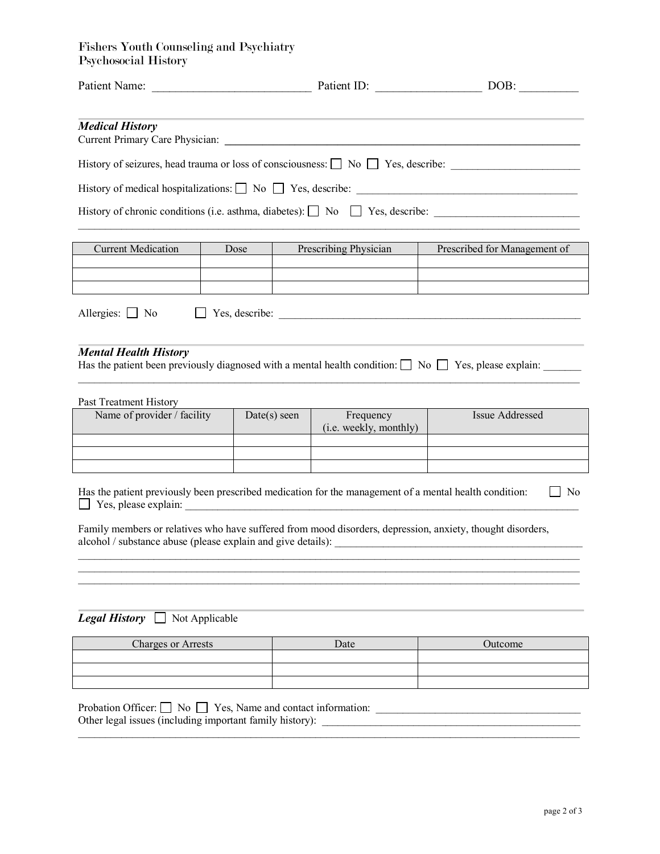# Fishers Youth Counseling and Psychiatry Psychosocial History

| <b>Medical History</b>                                                                                                                           |                                                                                                         |                                                                                                                                                                            |                                                                                                                 |  |  |
|--------------------------------------------------------------------------------------------------------------------------------------------------|---------------------------------------------------------------------------------------------------------|----------------------------------------------------------------------------------------------------------------------------------------------------------------------------|-----------------------------------------------------------------------------------------------------------------|--|--|
|                                                                                                                                                  |                                                                                                         |                                                                                                                                                                            |                                                                                                                 |  |  |
|                                                                                                                                                  |                                                                                                         |                                                                                                                                                                            |                                                                                                                 |  |  |
|                                                                                                                                                  |                                                                                                         |                                                                                                                                                                            | History of chronic conditions (i.e. asthma, diabetes):  No  No  Yes, describe:  No  Yes, describe:              |  |  |
| <b>Current Medication</b>                                                                                                                        | Dose                                                                                                    | Prescribing Physician                                                                                                                                                      | Prescribed for Management of                                                                                    |  |  |
|                                                                                                                                                  |                                                                                                         |                                                                                                                                                                            |                                                                                                                 |  |  |
| Allergies: $\Box$ No                                                                                                                             |                                                                                                         |                                                                                                                                                                            |                                                                                                                 |  |  |
| <b>Mental Health History</b>                                                                                                                     |                                                                                                         |                                                                                                                                                                            | Has the patient been previously diagnosed with a mental health condition: $\Box$ No $\Box$ Yes, please explain: |  |  |
| Past Treatment History                                                                                                                           |                                                                                                         |                                                                                                                                                                            |                                                                                                                 |  |  |
|                                                                                                                                                  | Name of provider / facility<br>Frequency<br>Issue Addressed<br>$Date(s)$ seen<br>(i.e. weekly, monthly) |                                                                                                                                                                            |                                                                                                                 |  |  |
|                                                                                                                                                  |                                                                                                         |                                                                                                                                                                            |                                                                                                                 |  |  |
|                                                                                                                                                  |                                                                                                         |                                                                                                                                                                            |                                                                                                                 |  |  |
| Has the patient previously been prescribed medication for the management of a mental health condition:<br>N <sub>0</sub><br>Yes, please explain: |                                                                                                         |                                                                                                                                                                            |                                                                                                                 |  |  |
|                                                                                                                                                  |                                                                                                         | Family members or relatives who have suffered from mood disorders, depression, anxiety, thought disorders,<br>alcohol / substance abuse (please explain and give details): |                                                                                                                 |  |  |
|                                                                                                                                                  |                                                                                                         |                                                                                                                                                                            |                                                                                                                 |  |  |
|                                                                                                                                                  |                                                                                                         |                                                                                                                                                                            |                                                                                                                 |  |  |
| <b>Legal History</b> $\Box$ Not Applicable                                                                                                       |                                                                                                         |                                                                                                                                                                            |                                                                                                                 |  |  |
| <b>Charges or Arrests</b><br>Date<br>Outcome                                                                                                     |                                                                                                         |                                                                                                                                                                            |                                                                                                                 |  |  |
|                                                                                                                                                  |                                                                                                         |                                                                                                                                                                            |                                                                                                                 |  |  |
|                                                                                                                                                  |                                                                                                         |                                                                                                                                                                            |                                                                                                                 |  |  |
| Probation Officer: $\Box$ No $\Box$ Yes, Name and contact information:<br>Other legal issues (including important family history):               |                                                                                                         |                                                                                                                                                                            |                                                                                                                 |  |  |

 $\_$  ,  $\_$  ,  $\_$  ,  $\_$  ,  $\_$  ,  $\_$  ,  $\_$  ,  $\_$  ,  $\_$  ,  $\_$  ,  $\_$  ,  $\_$  ,  $\_$  ,  $\_$  ,  $\_$